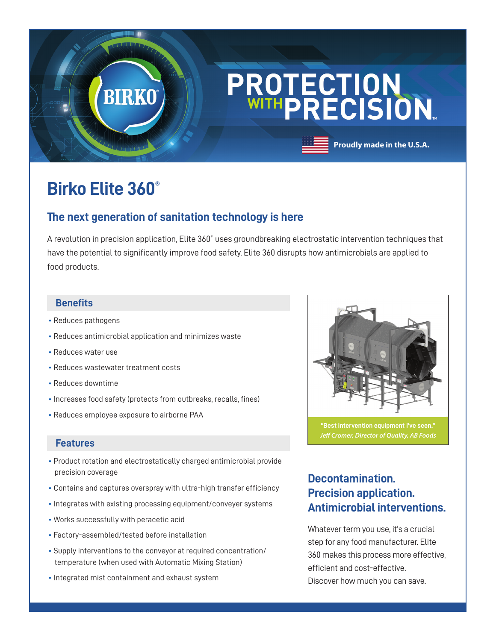# PROTECTION<br>WITHPRECISION.

## **Birko Elite 360®**

**BIRKO** 

## **The next generation of sanitation technology is here**

A revolution in precision application, Elite 360° uses groundbreaking electrostatic intervention techniques that have the potential to significantly improve food safety. Elite 360 disrupts how antimicrobials are applied to food products.

#### **Benefits**

- Reduces pathogens
- Reduces antimicrobial application and minimizes waste
- Reduces water use
- Reduces wastewater treatment costs
- Reduces downtime
- Increases food safety (protects from outbreaks, recalls, fines)
- Reduces employee exposure to airborne PAA

#### **Features**

- Product rotation and electrostatically charged antimicrobial provide precision coverage
- Contains and captures overspray with ultra-high transfer efficiency
- Integrates with existing processing equipment/conveyer systems
- Works successfully with peracetic acid
- Factory-assembled/tested before installation
- Supply interventions to the conveyor at required concentration/ temperature (when used with Automatic Mixing Station)
- Integrated mist containment and exhaust system



**Proudly made in the U.S.A.**

**"Best intervention equipment I've seen."** *Jeff Cromer, Director of Quality, AB Foods*

## **Decontamination. Precision application. Antimicrobial interventions.**

Whatever term you use, it's a crucial step for any food manufacturer. Elite 360 makes this process more effective, efficient and cost-effective. Discover how much you can save.